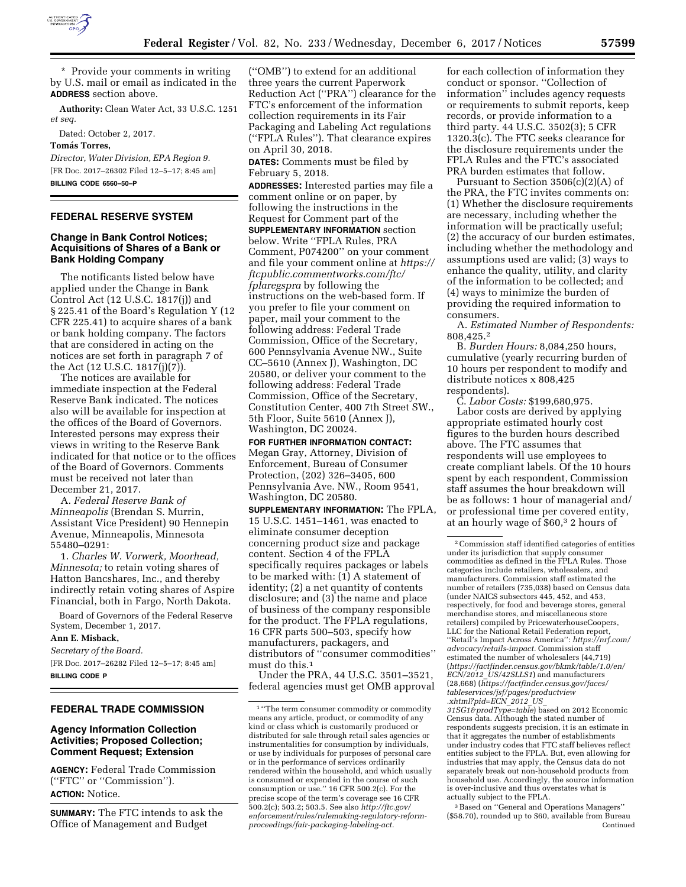

\* Provide your comments in writing by U.S. mail or email as indicated in the **ADDRESS** section above.

**Authority:** Clean Water Act, 33 U.S.C. 1251 *et seq.* 

Dated: October 2, 2017.

**Toma´ s Torres,** 

*Director, Water Division, EPA Region 9.*  [FR Doc. 2017–26302 Filed 12–5–17; 8:45 am] **BILLING CODE 6560–50–P** 

# **FEDERAL RESERVE SYSTEM**

## **Change in Bank Control Notices; Acquisitions of Shares of a Bank or Bank Holding Company**

The notificants listed below have applied under the Change in Bank Control Act (12 U.S.C. 1817(j)) and § 225.41 of the Board's Regulation Y (12 CFR 225.41) to acquire shares of a bank or bank holding company. The factors that are considered in acting on the notices are set forth in paragraph 7 of the Act (12 U.S.C. 1817(j)(7)).

The notices are available for immediate inspection at the Federal Reserve Bank indicated. The notices also will be available for inspection at the offices of the Board of Governors. Interested persons may express their views in writing to the Reserve Bank indicated for that notice or to the offices of the Board of Governors. Comments must be received not later than December 21, 2017.

A. *Federal Reserve Bank of Minneapolis* (Brendan S. Murrin, Assistant Vice President) 90 Hennepin Avenue, Minneapolis, Minnesota 55480–0291:

1. *Charles W. Vorwerk, Moorhead, Minnesota;* to retain voting shares of Hatton Bancshares, Inc., and thereby indirectly retain voting shares of Aspire Financial, both in Fargo, North Dakota.

Board of Governors of the Federal Reserve System, December 1, 2017.

**Ann E. Misback,** 

*Secretary of the Board.* 

[FR Doc. 2017–26282 Filed 12–5–17; 8:45 am] **BILLING CODE P** 

# **FEDERAL TRADE COMMISSION**

## **Agency Information Collection Activities; Proposed Collection; Comment Request; Extension**

**AGENCY:** Federal Trade Commission (''FTC'' or ''Commission''). **ACTION:** Notice.

**SUMMARY:** The FTC intends to ask the Office of Management and Budget

(''OMB'') to extend for an additional three years the current Paperwork Reduction Act (''PRA'') clearance for the FTC's enforcement of the information collection requirements in its Fair Packaging and Labeling Act regulations (''FPLA Rules''). That clearance expires on April 30, 2018.

**DATES:** Comments must be filed by February 5, 2018.

**ADDRESSES:** Interested parties may file a comment online or on paper, by following the instructions in the Request for Comment part of the **SUPPLEMENTARY INFORMATION** section below. Write ''FPLA Rules, PRA Comment, P074200'' on your comment and file your comment online at *[https://](https://ftcpublic.commentworks.com/ftc/fplaregspra)  [ftcpublic.commentworks.com/ftc/](https://ftcpublic.commentworks.com/ftc/fplaregspra)  [fplaregspra](https://ftcpublic.commentworks.com/ftc/fplaregspra)* by following the instructions on the web-based form. If you prefer to file your comment on paper, mail your comment to the following address: Federal Trade Commission, Office of the Secretary, 600 Pennsylvania Avenue NW., Suite CC–5610 (Annex J), Washington, DC 20580, or deliver your comment to the following address: Federal Trade Commission, Office of the Secretary, Constitution Center, 400 7th Street SW., 5th Floor, Suite 5610 (Annex J), Washington, DC 20024.

**FOR FURTHER INFORMATION CONTACT:**  Megan Gray, Attorney, Division of Enforcement, Bureau of Consumer Protection, (202) 326–3405, 600 Pennsylvania Ave. NW., Room 9541, Washington, DC 20580.

**SUPPLEMENTARY INFORMATION:** The FPLA, 15 U.S.C. 1451–1461, was enacted to eliminate consumer deception concerning product size and package content. Section 4 of the FPLA specifically requires packages or labels to be marked with: (1) A statement of identity; (2) a net quantity of contents disclosure; and (3) the name and place of business of the company responsible for the product. The FPLA regulations, 16 CFR parts 500–503, specify how manufacturers, packagers, and distributors of ''consumer commodities'' must do this.1

Under the PRA, 44 U.S.C. 3501–3521, federal agencies must get OMB approval

for each collection of information they conduct or sponsor. ''Collection of information'' includes agency requests or requirements to submit reports, keep records, or provide information to a third party. 44 U.S.C. 3502(3); 5 CFR 1320.3(c). The FTC seeks clearance for the disclosure requirements under the FPLA Rules and the FTC's associated PRA burden estimates that follow.

Pursuant to Section 3506(c)(2)(A) of the PRA, the FTC invites comments on: (1) Whether the disclosure requirements are necessary, including whether the information will be practically useful; (2) the accuracy of our burden estimates, including whether the methodology and assumptions used are valid; (3) ways to enhance the quality, utility, and clarity of the information to be collected; and (4) ways to minimize the burden of providing the required information to consumers.

A. *Estimated Number of Respondents:*  808,425.2

B. *Burden Hours:* 8,084,250 hours, cumulative (yearly recurring burden of 10 hours per respondent to modify and distribute notices x 808,425 respondents).

C. *Labor Costs:* \$199,680,975. Labor costs are derived by applying appropriate estimated hourly cost figures to the burden hours described above. The FTC assumes that respondents will use employees to create compliant labels. Of the 10 hours spent by each respondent, Commission staff assumes the hour breakdown will be as follows: 1 hour of managerial and/ or professional time per covered entity, at an hourly wage of \$60,3 2 hours of

2Commission staff identified categories of entities under its jurisdiction that supply consumer commodities as defined in the FPLA Rules. Those categories include retailers, wholesalers, and manufacturers. Commission staff estimated the number of retailers (735,038) based on Census data (under NAICS subsectors 445, 452, and 453, respectively, for food and beverage stores, general merchandise stores, and miscellaneous store retailers) compiled by PricewaterhouseCoopers, LLC for the National Retail Federation report, ''Retail's Impact Across America'': *[https://nrf.com/](https://nrf.com/advocacy/retails-impact)  [advocacy/retails-impact.](https://nrf.com/advocacy/retails-impact)* Commission staff estimated the number of wholesalers (44,719) (*[https://factfinder.census.gov/bkmk/table/1.0/en/](https://factfinder.census.gov/bkmk/table/1.0/en/ECN/2012_US/42SLLS1)  ECN/2012*\_*[US/42SLLS1](https://factfinder.census.gov/bkmk/table/1.0/en/ECN/2012_US/42SLLS1)*) and manufacturers (28,668) (*[https://factfinder.census.gov/faces/](https://factfinder.census.gov/faces/tableservices/jsf/pages/productview.xhtml?pid=ECN_2012_US_31SG1&prodType=table)  [tableservices/jsf/pages/productview](https://factfinder.census.gov/faces/tableservices/jsf/pages/productview.xhtml?pid=ECN_2012_US_31SG1&prodType=table)  [.xhtml?pid=ECN](https://factfinder.census.gov/faces/tableservices/jsf/pages/productview.xhtml?pid=ECN_2012_US_31SG1&prodType=table)*\_*2012*\_*US*\_

*[31SG1&prodType=table](https://factfinder.census.gov/faces/tableservices/jsf/pages/productview.xhtml?pid=ECN_2012_US_31SG1&prodType=table)*) based on 2012 Economic Census data. Although the stated number of respondents suggests precision, it is an estimate in that it aggregates the number of establishments under industry codes that FTC staff believes reflect entities subject to the FPLA. But, even allowing for industries that may apply, the Census data do not separately break out non-household products from household use. Accordingly, the source information is over-inclusive and thus overstates what is actually subject to the FPLA.

3Based on ''General and Operations Managers'' (\$58.70), rounded up to \$60, available from Bureau Continued

<sup>&</sup>lt;sup>1</sup> "The term consumer commodity or commodity means any article, product, or commodity of any kind or class which is customarily produced or distributed for sale through retail sales agencies or instrumentalities for consumption by individuals, or use by individuals for purposes of personal care or in the performance of services ordinarily rendered within the household, and which usually is consumed or expended in the course of such consumption or use.'' 16 CFR 500.2(c). For the precise scope of the term's coverage see 16 CFR 500.2(c); 503.2; 503.5. See also *[http://ftc.gov/](http://ftc.gov/enforcement/rules/rulemaking-regulatory-reform-proceedings/fair-packaging-labeling-act)  [enforcement/rules/rulemaking-regulatory-reform](http://ftc.gov/enforcement/rules/rulemaking-regulatory-reform-proceedings/fair-packaging-labeling-act)[proceedings/fair-packaging-labeling-act.](http://ftc.gov/enforcement/rules/rulemaking-regulatory-reform-proceedings/fair-packaging-labeling-act)*